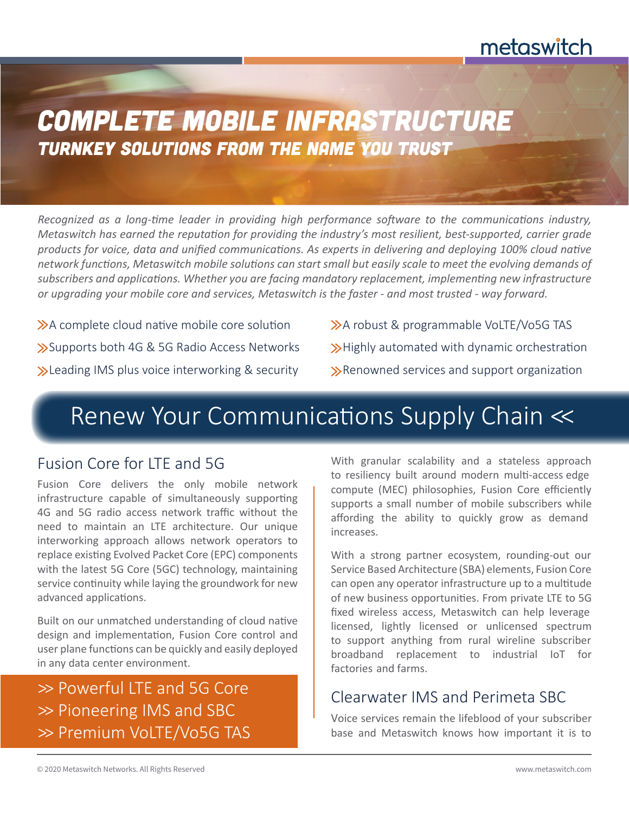# metaswitch

# *Complete Mobile Infrastructure Turnkey solutions from the name you trust*

*Recognized as a long-time leader in providing high performance software to the communications industry, Metaswitch has earned the reputation for providing the industry's most resilient, best-supported, carrier grade products for voice, data and unified communications. As experts in delivering and deploying 100% cloud native network functions, Metaswitch mobile solutions can start small but easily scale to meet the evolving demands of subscribers and applications. Whether you are facing mandatory replacement, implementing new infrastructure or upgrading your mobile core and services, Metaswitch is the faster - and most trusted - way forward.* 

 $\gg$  A complete cloud native mobile core solution Supports both 4G & 5G Radio Access Networks **>>** Leading IMS plus voice interworking & security A robust & programmable VoLTE/Vo5G TAS >Highly automated with dynamic orchestration

Renowned services and support organization

# Renew Your Communications Supply Chain <<

#### Fusion Core for LTE and 5G

Fusion Core delivers the only mobile network infrastructure capable of simultaneously supporting 4G and 5G radio access network traffic without the need to maintain an LTE architecture. Our unique interworking approach allows network operators to replace existing Evolved Packet Core (EPC) components with the latest 5G Core (5GC) technology, maintaining service continuity while laying the groundwork for new advanced applications.

Built on our unmatched understanding of cloud native design and implementation, Fusion Core control and user plane functions can be quickly and easily deployed in any data center environment.

>> Powerful LTE and 5G Core >> Pioneering IMS and SBC >> Premium VoLTE/Vo5G TAS

With granular scalability and a stateless approach to resiliency built around modern multi-access edge compute (MEC) philosophies, Fusion Core efficiently supports a small number of mobile subscribers while affording the ability to quickly grow as demand increases.

With a strong partner ecosystem, rounding-out our Service Based Architecture (SBA) elements, Fusion Core can open any operator infrastructure up to a multitude of new business opportunities. From private LTE to 5G fixed wireless access, Metaswitch can help leverage licensed, lightly licensed or unlicensed spectrum to support anything from rural wireline subscriber broadband replacement to industrial IoT for factories and farms.

### Clearwater IMS and Perimeta SBC

Voice services remain the lifeblood of your subscriber base and Metaswitch knows how important it is to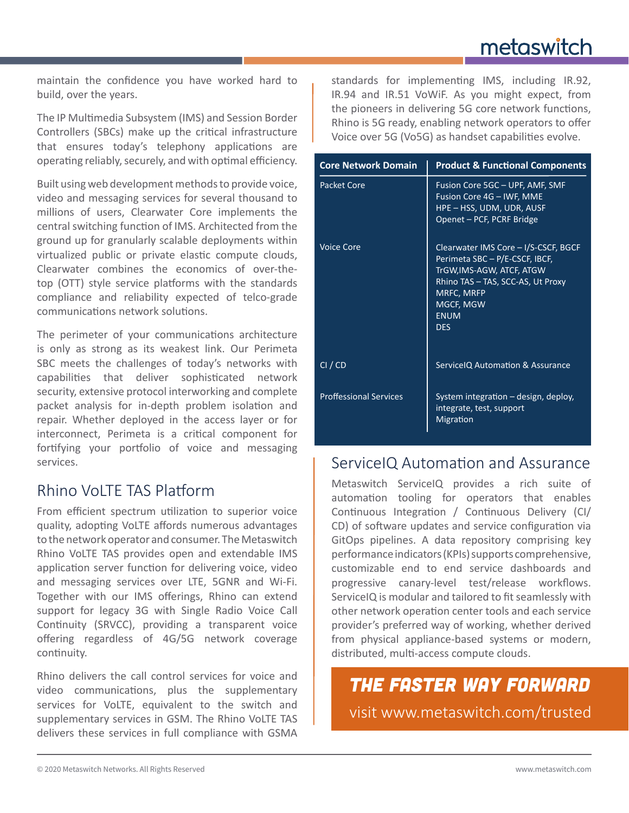maintain the confidence you have worked hard to build, over the years.

The IP Multimedia Subsystem (IMS) and Session Border Controllers (SBCs) make up the critical infrastructure that ensures today's telephony applications are operating reliably, securely, and with optimal efficiency.

Built using web development methods to provide voice, video and messaging services for several thousand to millions of users, Clearwater Core implements the central switching function of IMS. Architected from the ground up for granularly scalable deployments within virtualized public or private elastic compute clouds, Clearwater combines the economics of over-thetop (OTT) style service platforms with the standards compliance and reliability expected of telco-grade communications network solutions.

The perimeter of your communications architecture is only as strong as its weakest link. Our Perimeta SBC meets the challenges of today's networks with capabilities that deliver sophisticated network security, extensive protocol interworking and complete packet analysis for in-depth problem isolation and repair. Whether deployed in the access layer or for interconnect, Perimeta is a critical component for fortifying your portfolio of voice and messaging services.

### Rhino VoLTE TAS Platform

From efficient spectrum utilization to superior voice quality, adopting VoLTE affords numerous advantages to the network operator and consumer. The Metaswitch Rhino VoLTE TAS provides open and extendable IMS application server function for delivering voice, video and messaging services over LTE, 5GNR and Wi-Fi. Together with our IMS offerings, Rhino can extend support for legacy 3G with Single Radio Voice Call Continuity (SRVCC), providing a transparent voice offering regardless of 4G/5G network coverage continuity.

Rhino delivers the call control services for voice and video communications, plus the supplementary services for VoLTE, equivalent to the switch and supplementary services in GSM. The Rhino VoLTE TAS delivers these services in full compliance with GSMA

standards for implementing IMS, including IR.92, IR.94 and IR.51 VoWiF. As you might expect, from the pioneers in delivering 5G core network functions, Rhino is 5G ready, enabling network operators to offer Voice over 5G (Vo5G) as handset capabilities evolve.

| <b>Core Network Domain</b>    | <b>Product &amp; Functional Components</b>                                                                                                                                                       |
|-------------------------------|--------------------------------------------------------------------------------------------------------------------------------------------------------------------------------------------------|
| Packet Core                   | Fusion Core 5GC - UPF, AMF, SMF<br>Fusion Core 4G - IWF, MME<br>HPE - HSS, UDM, UDR, AUSF<br>Openet - PCF, PCRF Bridge                                                                           |
| <b>Voice Core</b>             | Clearwater IMS Core - I/S-CSCF, BGCF<br>Perimeta SBC - P/E-CSCF, IBCF,<br>TrGW, IMS-AGW, ATCF, ATGW<br>Rhino TAS - TAS, SCC-AS, Ut Proxy<br>MRFC, MRFP<br>MGCF, MGW<br><b>ENUM</b><br><b>DES</b> |
| CI / CD                       | ServiceIQ Automation & Assurance                                                                                                                                                                 |
| <b>Proffessional Services</b> | System integration - design, deploy,<br>integrate, test, support<br>Migration                                                                                                                    |

### ServiceIQ Automation and Assurance

Metaswitch ServiceIQ provides a rich suite of automation tooling for operators that enables Continuous Integration / Continuous Delivery (CI/ CD) of software updates and service configuration via GitOps pipelines. A data repository comprising key performance indicators (KPIs) supports comprehensive, customizable end to end service dashboards and progressive canary-level test/release workflows. ServiceIQ is modular and tailored to fit seamlessly with other network operation center tools and each service provider's preferred way of working, whether derived from physical appliance-based systems or modern, distributed, multi-access compute clouds.

visit www.metaswitch.com/trusted *The Faster Way Forward*